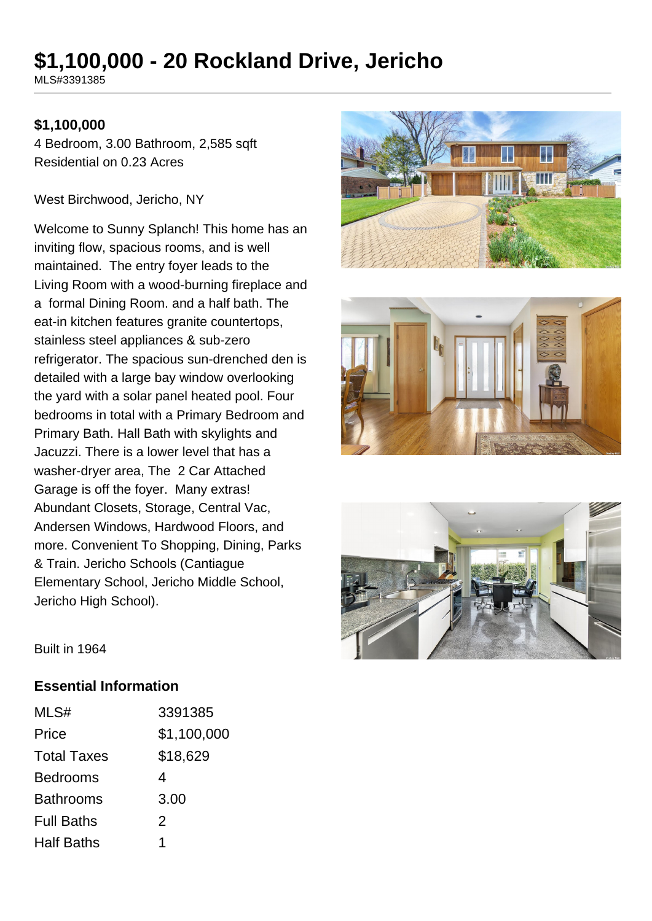# **\$1,100,000 - 20 Rockland Drive, Jericho**

MLS#3391385

#### **\$1,100,000**

4 Bedroom, 3.00 Bathroom, 2,585 sqft Residential on 0.23 Acres

West Birchwood, Jericho, NY

Welcome to Sunny Splanch! This home has an inviting flow, spacious rooms, and is well maintained. The entry foyer leads to the Living Room with a wood-burning fireplace and a formal Dining Room. and a half bath. The eat-in kitchen features granite countertops, stainless steel appliances & sub-zero refrigerator. The spacious sun-drenched den is detailed with a large bay window overlooking the yard with a solar panel heated pool. Four bedrooms in total with a Primary Bedroom and Primary Bath. Hall Bath with skylights and Jacuzzi. There is a lower level that has a washer-dryer area, The 2 Car Attached Garage is off the foyer. Many extras! Abundant Closets, Storage, Central Vac, Andersen Windows, Hardwood Floors, and more. Convenient To Shopping, Dining, Parks & Train. Jericho Schools (Cantiague Elementary School, Jericho Middle School, Jericho High School).







Built in 1964

#### **Essential Information**

| MLS#               | 3391385     |
|--------------------|-------------|
| Price              | \$1,100,000 |
| <b>Total Taxes</b> | \$18,629    |
| <b>Bedrooms</b>    | 4           |
| <b>Bathrooms</b>   | 3.00        |
| <b>Full Baths</b>  | 2           |
| <b>Half Baths</b>  |             |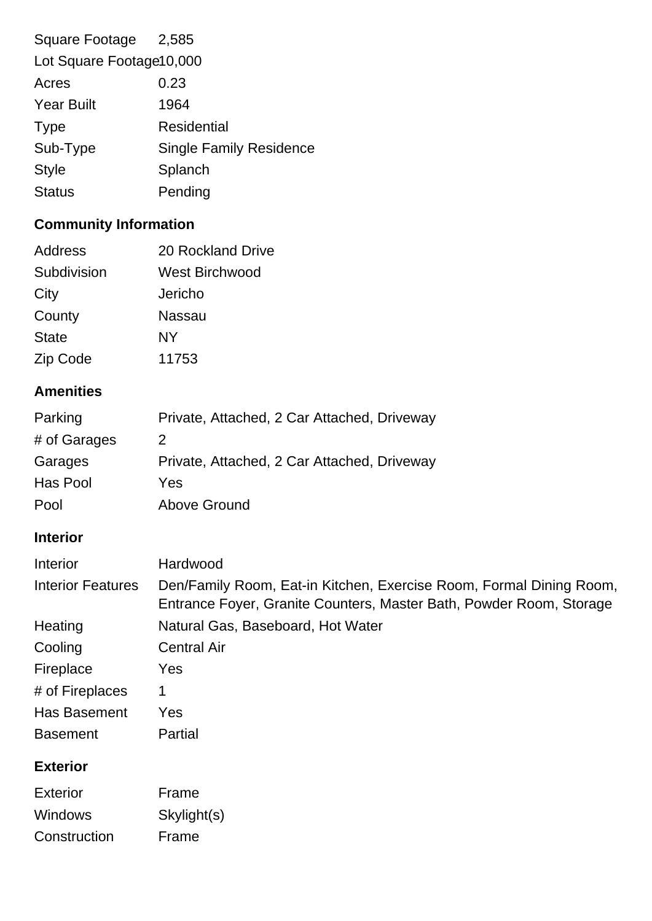| Square Footage 2,585     |                                |  |
|--------------------------|--------------------------------|--|
| Lot Square Footage10,000 |                                |  |
| Acres                    | 0.23                           |  |
| <b>Year Built</b>        | 1964                           |  |
| <b>Type</b>              | Residential                    |  |
| Sub-Type                 | <b>Single Family Residence</b> |  |
| <b>Style</b>             | Splanch                        |  |
| <b>Status</b>            | Pending                        |  |
|                          |                                |  |

# **Community Information**

| Address      | 20 Rockland Drive     |
|--------------|-----------------------|
| Subdivision  | <b>West Birchwood</b> |
| City         | Jericho               |
| County       | <b>Nassau</b>         |
| <b>State</b> | <b>NY</b>             |
| Zip Code     | 11753                 |

# **Amenities**

| Parking      | Private, Attached, 2 Car Attached, Driveway |
|--------------|---------------------------------------------|
| # of Garages | 2                                           |
| Garages      | Private, Attached, 2 Car Attached, Driveway |
| Has Pool     | Yes                                         |
| Pool         | <b>Above Ground</b>                         |

# **Interior**

| Interior                 | Hardwood                                                                                                                                   |
|--------------------------|--------------------------------------------------------------------------------------------------------------------------------------------|
| <b>Interior Features</b> | Den/Family Room, Eat-in Kitchen, Exercise Room, Formal Dining Room,<br>Entrance Foyer, Granite Counters, Master Bath, Powder Room, Storage |
| Heating                  | Natural Gas, Baseboard, Hot Water                                                                                                          |
| Cooling                  | <b>Central Air</b>                                                                                                                         |
| Fireplace                | Yes                                                                                                                                        |
| # of Fireplaces          | 1                                                                                                                                          |
| Has Basement             | Yes                                                                                                                                        |
| <b>Basement</b>          | Partial                                                                                                                                    |
|                          |                                                                                                                                            |

## **Exterior**

| Exterior       | Frame       |
|----------------|-------------|
| <b>Windows</b> | Skylight(s) |
| Construction   | Frame       |